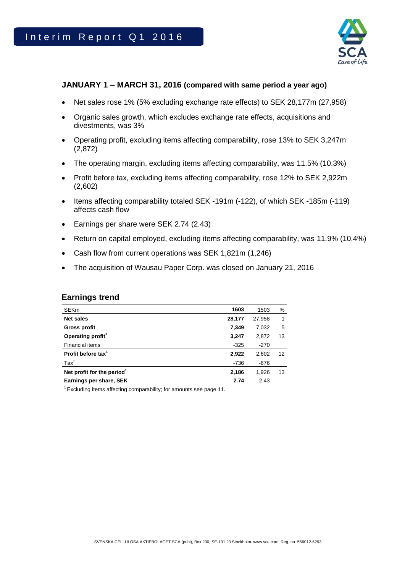

## **JANUARY 1 – MARCH 31, 2016 (compared with same period a year ago)**

- Net sales rose 1% (5% excluding exchange rate effects) to SEK 28,177m (27,958)
- Organic sales growth, which excludes exchange rate effects, acquisitions and divestments, was 3%
- Operating profit, excluding items affecting comparability, rose 13% to SEK 3,247m (2,872)
- The operating margin, excluding items affecting comparability, was 11.5% (10.3%)
- Profit before tax, excluding items affecting comparability, rose 12% to SEK 2,922m (2,602)
- Items affecting comparability totaled SEK -191m (-122), of which SEK -185m (-119) affects cash flow
- Earnings per share were SEK 2.74 (2.43)
- Return on capital employed, excluding items affecting comparability, was 11.9% (10.4%)
- Cash flow from current operations was SEK 1,821m (1,246)
- The acquisition of Wausau Paper Corp. was closed on January 21, 2016

#### **Earnings trend**

| <b>SEKm</b>                            | 1603   | 1503   | %  |
|----------------------------------------|--------|--------|----|
| Net sales                              | 28,177 | 27,958 | 1  |
| <b>Gross profit</b>                    | 7,349  | 7,032  | 5  |
| Operating profit <sup>1</sup>          | 3,247  | 2,872  | 13 |
| Financial items                        | $-325$ | $-270$ |    |
| Profit before tax <sup>1</sup>         | 2,922  | 2,602  | 12 |
| $\text{Tax}^1$                         | $-736$ | $-676$ |    |
| Net profit for the period <sup>1</sup> | 2,186  | 1,926  | 13 |
| Earnings per share, SEK                | 2.74   | 2.43   |    |
|                                        |        |        |    |

 $1$  Excluding items affecting comparability; for amounts see page 11.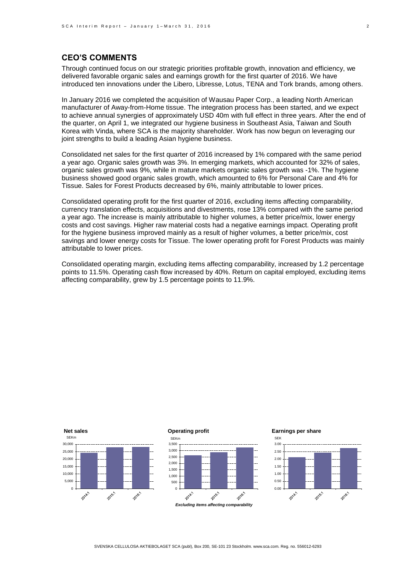## **CEO'S COMMENTS**

Through continued focus on our strategic priorities profitable growth, innovation and efficiency, we delivered favorable organic sales and earnings growth for the first quarter of 2016. We have introduced ten innovations under the Libero, Libresse, Lotus, TENA and Tork brands, among others.

In January 2016 we completed the acquisition of Wausau Paper Corp., a leading North American manufacturer of Away-from-Home tissue. The integration process has been started, and we expect to achieve annual synergies of approximately USD 40m with full effect in three years. After the end of the quarter, on April 1, we integrated our hygiene business in Southeast Asia, Taiwan and South Korea with Vinda, where SCA is the majority shareholder. Work has now begun on leveraging our joint strengths to build a leading Asian hygiene business.

Consolidated net sales for the first quarter of 2016 increased by 1% compared with the same period a year ago. Organic sales growth was 3%. In emerging markets, which accounted for 32% of sales, organic sales growth was 9%, while in mature markets organic sales growth was -1%. The hygiene business showed good organic sales growth, which amounted to 6% for Personal Care and 4% for Tissue. Sales for Forest Products decreased by 6%, mainly attributable to lower prices.

Consolidated operating profit for the first quarter of 2016, excluding items affecting comparability, currency translation effects, acquisitions and divestments, rose 13% compared with the same period a year ago. The increase is mainly attributable to higher volumes, a better price/mix, lower energy costs and cost savings. Higher raw material costs had a negative earnings impact. Operating profit for the hygiene business improved mainly as a result of higher volumes, a better price/mix, cost savings and lower energy costs for Tissue. The lower operating profit for Forest Products was mainly attributable to lower prices.

Consolidated operating margin, excluding items affecting comparability, increased by 1.2 percentage points to 11.5%. Operating cash flow increased by 40%. Return on capital employed, excluding items affecting comparability, grew by 1.5 percentage points to 11.9%.



SVENSKA CELLULOSA AKTIEBOLAGET SCA (publ), Box 200, SE-101 23 Stockholm. www.sca.com. Reg. no. 556012-6293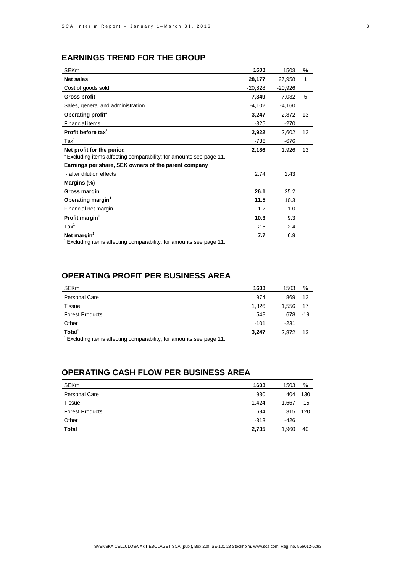# **EARNINGS TREND FOR THE GROUP**

| <b>SEKm</b>                                                                                                     | 1603      | 1503      | %  |
|-----------------------------------------------------------------------------------------------------------------|-----------|-----------|----|
| <b>Net sales</b>                                                                                                | 28,177    | 27,958    | 1  |
| Cost of goods sold                                                                                              | $-20,828$ | $-20,926$ |    |
| <b>Gross profit</b>                                                                                             | 7,349     | 7,032     | 5  |
| Sales, general and administration                                                                               | $-4,102$  | $-4,160$  |    |
| Operating profit <sup>1</sup>                                                                                   | 3,247     | 2,872     | 13 |
| <b>Financial items</b>                                                                                          | $-325$    | $-270$    |    |
| Profit before tax <sup>1</sup>                                                                                  | 2,922     | 2,602     | 12 |
| $\text{Tax}^1$                                                                                                  | $-736$    | $-676$    |    |
| Net profit for the period <sup>1</sup><br>$1$ Excluding items affecting comparability; for amounts see page 11. | 2,186     | 1,926     | 13 |
| Earnings per share, SEK owners of the parent company                                                            |           |           |    |
| - after dilution effects                                                                                        | 2.74      | 2.43      |    |
| Margins (%)                                                                                                     |           |           |    |
| Gross margin                                                                                                    | 26.1      | 25.2      |    |
| Operating margin <sup>1</sup>                                                                                   | 11.5      | 10.3      |    |
| Financial net margin                                                                                            | $-1.2$    | $-1.0$    |    |
| Profit margin <sup>1</sup>                                                                                      | 10.3      | 9.3       |    |
| $\text{Tax}^1$                                                                                                  | $-2.6$    | $-2.4$    |    |
| Net margin <sup>1</sup>                                                                                         | 7.7       | 6.9       |    |

<sup>1</sup>Excluding items affecting comparability; for amounts see page 11.

## **OPERATING PROFIT PER BUSINESS AREA**

| <b>SEKm</b>                                                                                          | 1603   | 1503     | %   |
|------------------------------------------------------------------------------------------------------|--------|----------|-----|
| <b>Personal Care</b>                                                                                 | 974    | 869      | -12 |
| Tissue                                                                                               | 1.826  | 1.556    | -17 |
| <b>Forest Products</b>                                                                               | 548    | 678 - 19 |     |
| Other                                                                                                | $-101$ | -231     |     |
| Total <sup>1</sup><br>$\frac{1}{2}$ Excluding items offecting comparability; for amounts see page 11 | 3.247  | 2.872    | -13 |

<sup>1</sup>Excluding items affecting comparability; for amounts see page 11.

## **OPERATING CASH FLOW PER BUSINESS AREA**

| <b>SEKm</b>            | 1603   | 1503  | %     |
|------------------------|--------|-------|-------|
| <b>Personal Care</b>   | 930    | 404   | 130   |
| Tissue                 | 1.424  | 1.667 | $-15$ |
| <b>Forest Products</b> | 694    | 315   | - 120 |
| Other                  | $-313$ | -426  |       |
| <b>Total</b>           | 2,735  | 1,960 | 40    |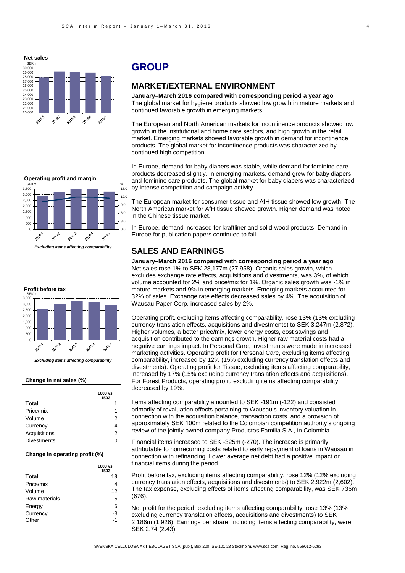

# **GROUP**

#### **MARKET/EXTERNAL ENVIRONMENT**

**January–March 2016 compared with corresponding period a year ago** The global market for hygiene products showed low growth in mature markets and continued favorable growth in emerging markets.

The European and North American markets for incontinence products showed low growth in the institutional and home care sectors, and high growth in the retail market. Emerging markets showed favorable growth in demand for incontinence products. The global market for incontinence products was characterized by continued high competition.

In Europe, demand for baby diapers was stable, while demand for feminine care products decreased slightly. In emerging markets, demand grew for baby diapers and feminine care products. The global market for baby diapers was characterized by intense competition and campaign activity.

The European market for consumer tissue and AfH tissue showed low growth. The North American market for AfH tissue showed growth. Higher demand was noted in the Chinese tissue market.

In Europe, demand increased for kraftliner and solid-wood products. Demand in Europe for publication papers continued to fall.

## **SALES AND EARNINGS**

**January–March 2016 compared with corresponding period a year ago** Net sales rose 1% to SEK 28,177m (27,958). Organic sales growth, which excludes exchange rate effects, acquisitions and divestments, was 3%, of which

volume accounted for 2% and price/mix for 1%. Organic sales growth was -1% in mature markets and 9% in emerging markets. Emerging markets accounted for 32% of sales. Exchange rate effects decreased sales by 4%. The acquisition of Wausau Paper Corp. increased sales by 2%.

Operating profit, excluding items affecting comparability, rose 13% (13% excluding currency translation effects, acquisitions and divestments) to SEK 3,247m (2,872). Higher volumes, a better price/mix, lower energy costs, cost savings and acquisition contributed to the earnings growth. Higher raw material costs had a negative earnings impact. In Personal Care, investments were made in increased marketing activities. Operating profit for Personal Care, excluding items affecting comparability, increased by 12% (15% excluding currency translation effects and divestments). Operating profit for Tissue, excluding items affecting comparability, increased by 17% (15% excluding currency translation effects and acquisitions). For Forest Products, operating profit, excluding items affecting comparability, decreased by 19%.

Items affecting comparability amounted to SEK -191m (-122) and consisted primarily of revaluation effects pertaining to Wausau's inventory valuation in connection with the acquisition balance, transaction costs, and a provision of approximately SEK 100m related to the Colombian competition authority's ongoing review of the jointly owned company Productos Familia S.A., in Colombia.

Financial items increased to SEK -325m (-270). The increase is primarily attributable to nonrecurring costs related to early repayment of loans in Wausau in connection with refinancing. Lower average net debt had a positive impact on financial items during the period.

Profit before tax, excluding items affecting comparability, rose 12% (12% excluding currency translation effects, acquisitions and divestments) to SEK 2,922m (2,602). The tax expense, excluding effects of items affecting comparability, was SEK 736m (676).

Net profit for the period, excluding items affecting comparability, rose 13% (13% excluding currency translation effects, acquisitions and divestments) to SEK 2,186m (1,926). Earnings per share, including items affecting comparability, were SEK 2.74 (2.43).



*Excluding items affecting comparability*



*Excluding items affecting comparability*

#### **Change in net sales (%)**

|                    | 1603 vs.<br>1503 |  |
|--------------------|------------------|--|
| Total              |                  |  |
| Price/mix          | 1                |  |
| Volume             | 2                |  |
| Currency           | -4               |  |
| Acquisitions       | 2                |  |
| <b>Divestments</b> | ი                |  |

#### **Change in operating profit (%)**

|               | 1603 vs.<br>1503 |
|---------------|------------------|
| <b>Total</b>  | 13               |
| Price/mix     | 4                |
| Volume        | 12               |
| Raw materials | -5               |
| Energy        | 6                |
| Currency      | -3               |
| Other         | -1               |
|               |                  |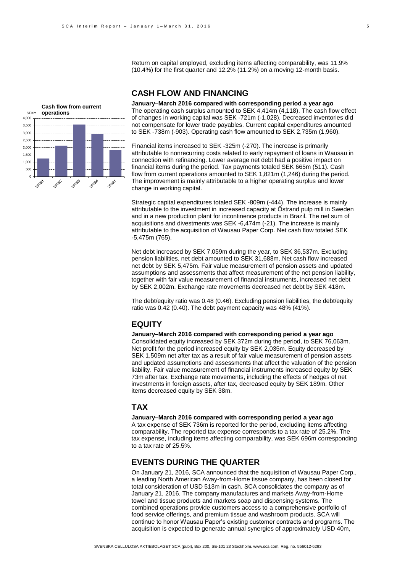Return on capital employed, excluding items affecting comparability, was 11.9% (10.4%) for the first quarter and 12.2% (11.2%) on a moving 12-month basis.

## **CASH FLOW AND FINANCING**



**January–March 2016 compared with corresponding period a year ago** The operating cash surplus amounted to SEK 4,414m (4,118). The cash flow effect of changes in working capital was SEK -721m (-1,028). Decreased inventories did not compensate for lower trade payables. Current capital expenditures amounted to SEK -738m (-903). Operating cash flow amounted to SEK 2,735m (1,960).

Financial items increased to SEK -325m (-270). The increase is primarily attributable to nonrecurring costs related to early repayment of loans in Wausau in connection with refinancing. Lower average net debt had a positive impact on financial items during the period. Tax payments totaled SEK 665m (511). Cash flow from current operations amounted to SEK 1,821m (1,246) during the period. The improvement is mainly attributable to a higher operating surplus and lower change in working capital.

Strategic capital expenditures totaled SEK -809m (-444). The increase is mainly attributable to the investment in increased capacity at Östrand pulp mill in Sweden and in a new production plant for incontinence products in Brazil. The net sum of acquisitions and divestments was SEK -6,474m (-21). The increase is mainly attributable to the acquisition of Wausau Paper Corp. Net cash flow totaled SEK -5,475m (765).

Net debt increased by SEK 7,059m during the year, to SEK 36,537m. Excluding pension liabilities, net debt amounted to SEK 31,688m. Net cash flow increased net debt by SEK 5,475m. Fair value measurement of pension assets and updated assumptions and assessments that affect measurement of the net pension liability, together with fair value measurement of financial instruments, increased net debt by SEK 2,002m. Exchange rate movements decreased net debt by SEK 418m.

The debt/equity ratio was 0.48 (0.46). Excluding pension liabilities, the debt/equity ratio was 0.42 (0.40). The debt payment capacity was 48% (41%).

#### **EQUITY**

**January–March 2016 compared with corresponding period a year ago** Consolidated equity increased by SEK 372m during the period, to SEK 76,063m. Net profit for the period increased equity by SEK 2,035m. Equity decreased by SEK 1,509m net after tax as a result of fair value measurement of pension assets and updated assumptions and assessments that affect the valuation of the pension liability. Fair value measurement of financial instruments increased equity by SEK 73m after tax. Exchange rate movements, including the effects of hedges of net investments in foreign assets, after tax, decreased equity by SEK 189m. Other items decreased equity by SEK 38m.

#### **TAX**

**January–March 2016 compared with corresponding period a year ago** A tax expense of SEK 736m is reported for the period, excluding items affecting comparability. The reported tax expense corresponds to a tax rate of 25.2%. The tax expense, including items affecting comparability, was SEK 696m corresponding to a tax rate of 25.5%.

## **EVENTS DURING THE QUARTER**

On January 21, 2016, SCA announced that the acquisition of Wausau Paper Corp., a leading North American Away-from-Home tissue company, has been closed for total consideration of USD 513m in cash. SCA consolidates the company as of January 21, 2016. The company manufactures and markets Away-from-Home towel and tissue products and markets soap and dispensing systems. The combined operations provide customers access to a comprehensive portfolio of food service offerings, and premium tissue and washroom products. SCA will continue to honor Wausau Paper's existing customer contracts and programs. The acquisition is expected to generate annual synergies of approximately USD 40m,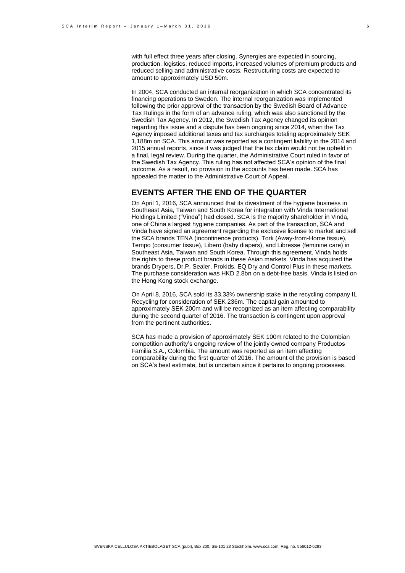with full effect three years after closing. Synergies are expected in sourcing, production, logistics, reduced imports, increased volumes of premium products and reduced selling and administrative costs. Restructuring costs are expected to amount to approximately USD 50m.

In 2004, SCA conducted an internal reorganization in which SCA concentrated its financing operations to Sweden. The internal reorganization was implemented following the prior approval of the transaction by the Swedish Board of Advance Tax Rulings in the form of an advance ruling, which was also sanctioned by the Swedish Tax Agency. In 2012, the Swedish Tax Agency changed its opinion regarding this issue and a dispute has been ongoing since 2014, when the Tax Agency imposed additional taxes and tax surcharges totaling approximately SEK 1,188m on SCA. This amount was reported as a contingent liability in the 2014 and 2015 annual reports, since it was judged that the tax claim would not be upheld in a final, legal review. During the quarter, the Administrative Court ruled in favor of the Swedish Tax Agency. This ruling has not affected SCA's opinion of the final outcome. As a result, no provision in the accounts has been made. SCA has appealed the matter to the Administrative Court of Appeal.

#### **EVENTS AFTER THE END OF THE QUARTER**

On April 1, 2016, SCA announced that its divestment of the hygiene business in Southeast Asia, Taiwan and South Korea for integration with Vinda International Holdings Limited ("Vinda") had closed. SCA is the majority shareholder in Vinda, one of China's largest hygiene companies. As part of the transaction, SCA and Vinda have signed an agreement regarding the exclusive license to market and sell the SCA brands TENA (incontinence products), Tork (Away-from-Home tissue), Tempo (consumer tissue), Libero (baby diapers), and Libresse (feminine care) in Southeast Asia, Taiwan and South Korea. Through this agreement, Vinda holds the rights to these product brands in these Asian markets. Vinda has acquired the brands Drypers, Dr.P, Sealer, Prokids, EQ Dry and Control Plus in these markets. The purchase consideration was HKD 2.8bn on a debt-free basis. Vinda is listed on the Hong Kong stock exchange.

On April 8, 2016, SCA sold its 33.33% ownership stake in the recycling company IL Recycling for consideration of SEK 236m. The capital gain amounted to approximately SEK 200m and will be recognized as an item affecting comparability during the second quarter of 2016. The transaction is contingent upon approval from the pertinent authorities.

SCA has made a provision of approximately SEK 100m related to the Colombian competition authority's ongoing review of the jointly owned company Productos Familia S.A., Colombia. The amount was reported as an item affecting comparability during the first quarter of 2016. The amount of the provision is based on SCA's best estimate, but is uncertain since it pertains to ongoing processes.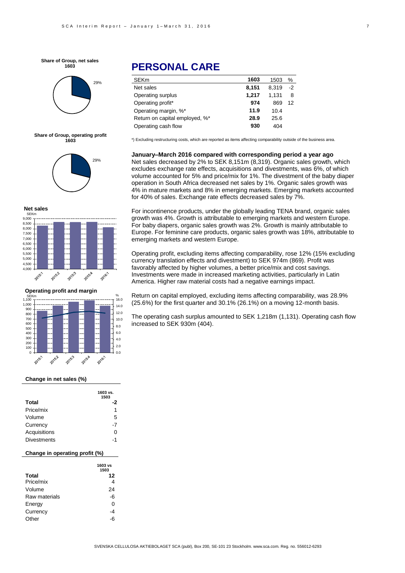**Share of Group, net sales 1603**



**Share of Group, operating profit 1603**







#### **Change in net sales (%)**

|                    | 1603 vs.<br>1503 |
|--------------------|------------------|
| Total              | -2               |
| Price/mix          | 1                |
| Volume             | 5                |
| Currency           | -7               |
| Acquisitions       | O                |
| <b>Divestments</b> | -1               |

#### **Change in operating profit (%)**

|               | 1603 vs |
|---------------|---------|
|               | 1503    |
| <b>Total</b>  | 12      |
| Price/mix     |         |
| Volume        | 24      |
| Raw materials | -6      |
| Energy        | 0       |
| Currency      | -4      |
| )ther         |         |

# **PERSONAL CARE**

| <b>SEKm</b>                    | 1603  | 1503  | %    |
|--------------------------------|-------|-------|------|
| Net sales                      | 8,151 | 8.319 | $-2$ |
| Operating surplus              | 1,217 | 1.131 | 8    |
| Operating profit*              | 974   | 869   | 12   |
| Operating margin, %*           | 11.9  | 10.4  |      |
| Return on capital employed, %* | 28.9  | 25.6  |      |
| Operating cash flow            | 930   | 404   |      |

\*) Excluding restructuring costs, which are reported as items affecting comparability outside of the business area.

**January–March 2016 compared with corresponding period a year ago** Net sales decreased by 2% to SEK 8,151m (8,319). Organic sales growth, which excludes exchange rate effects, acquisitions and divestments, was 6%, of which volume accounted for 5% and price/mix for 1%. The divestment of the baby diaper operation in South Africa decreased net sales by 1%. Organic sales growth was 4% in mature markets and 8% in emerging markets. Emerging markets accounted for 40% of sales. Exchange rate effects decreased sales by 7%.

For incontinence products, under the globally leading TENA brand, organic sales growth was 4%. Growth is attributable to emerging markets and western Europe. For baby diapers, organic sales growth was 2%. Growth is mainly attributable to Europe. For feminine care products, organic sales growth was 18%, attributable to emerging markets and western Europe.

Operating profit, excluding items affecting comparability, rose 12% (15% excluding currency translation effects and divestment) to SEK 974m (869). Profit was favorably affected by higher volumes, a better price/mix and cost savings. Investments were made in increased marketing activities, particularly in Latin America. Higher raw material costs had a negative earnings impact.

Return on capital employed, excluding items affecting comparability, was 28.9% (25.6%) for the first quarter and 30.1% (26.1%) on a moving 12-month basis.

The operating cash surplus amounted to SEK 1,218m (1,131). Operating cash flow increased to SEK 930m (404).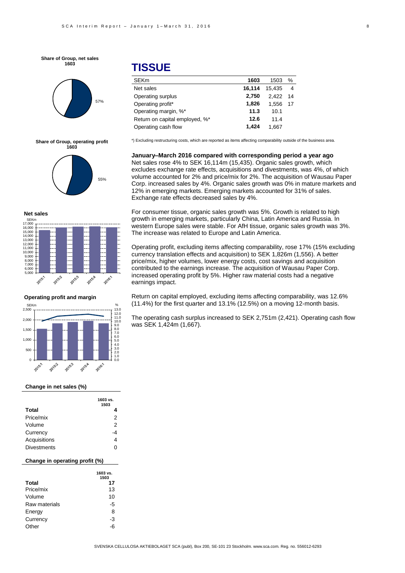**Share of Group, net sales 1603**



#### **Share of Group, operating profit 1603**



#### **Net sales**



#### **Operating profit and margin**



#### **Change in net sales (%)**

|                    | 1603 vs.<br>1503 |
|--------------------|------------------|
| Total              |                  |
| Price/mix          | 2                |
| Volume             | 2                |
| Currency           | -4               |
| Acquisitions       |                  |
| <b>Divestments</b> | 0                |

#### **Change in operating profit (%)**

|               | 1603 vs.<br>1503 |
|---------------|------------------|
| Total         | 17               |
| Price/mix     | 13               |
| Volume        | 10               |
| Raw materials | -5               |
| Energy        | 8                |
| Currency      | -3               |
| )ther         |                  |

# **TISSUE**

| <b>SEKm</b>                    | 1603   | 1503   | $\%$ |
|--------------------------------|--------|--------|------|
| Net sales                      | 16.114 | 15.435 | 4    |
| Operating surplus              | 2.750  | 2.422  | 14   |
| Operating profit*              | 1,826  | 1.556  | 17   |
| Operating margin, %*           | 11.3   | 10.1   |      |
| Return on capital employed, %* | 12.6   | 11.4   |      |
| Operating cash flow            | 1.424  | 1.667  |      |

\*) Excluding restructuring costs, which are reported as items affecting comparability outside of the business area.

**January–March 2016 compared with corresponding period a year ago** Net sales rose 4% to SEK 16,114m (15,435). Organic sales growth, which excludes exchange rate effects, acquisitions and divestments, was 4%, of which volume accounted for 2% and price/mix for 2%. The acquisition of Wausau Paper Corp. increased sales by 4%. Organic sales growth was 0% in mature markets and 12% in emerging markets. Emerging markets accounted for 31% of sales. Exchange rate effects decreased sales by 4%.

For consumer tissue, organic sales growth was 5%. Growth is related to high growth in emerging markets, particularly China, Latin America and Russia. In western Europe sales were stable. For AfH tissue, organic sales growth was 3%. The increase was related to Europe and Latin America.

Operating profit, excluding items affecting comparability, rose 17% (15% excluding currency translation effects and acquisition) to SEK 1,826m (1,556). A better price/mix, higher volumes, lower energy costs, cost savings and acquisition contributed to the earnings increase. The acquisition of Wausau Paper Corp. increased operating profit by 5%. Higher raw material costs had a negative earnings impact.

Return on capital employed, excluding items affecting comparability, was 12.6% (11.4%) for the first quarter and 13.1% (12.5%) on a moving 12-month basis.

The operating cash surplus increased to SEK 2,751m (2,421). Operating cash flow was SEK 1,424m (1,667).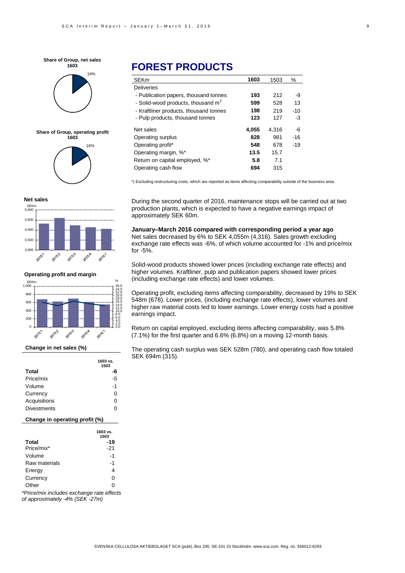





16% **Share of Group, operating profit 1603**

#### **Net sales**



**Operating profit and margin**



#### **Change in net sales (%)**

|                    | 1603 vs.<br>1503 |
|--------------------|------------------|
| <b>Total</b>       |                  |
| Price/mix          | -5               |
| Volume             | -1               |
| Currency           | U                |
| Acquisitions       | U                |
| <b>Divestments</b> | O                |

#### **Change in operating profit (%)**

|               | 1603 vs.<br>1503 |
|---------------|------------------|
| <b>Total</b>  | -19              |
| Price/mix*    | $-21$            |
| Volume        | -1               |
| Raw materials | $-1$             |
| Energy        | 4                |
| Currency      | 0                |
| Other         | ი                |

*\*Price/mix includes exchange rate effects of approximately -4% (SEK -27m)*

# **FOREST PRODUCTS**

| <b>SEKm</b>                            | 1603  | 1503  | %     |
|----------------------------------------|-------|-------|-------|
| <b>Deliveries</b>                      |       |       |       |
| - Publication papers, thousand tonnes  | 193   | 212   | -9    |
| - Solid-wood products, thousand $m3$   | 599   | 528   | 13    |
| - Kraftliner products, thousand tonnes | 198   | 219   | $-10$ |
| - Pulp products, thousand tonnes       | 123   | 127   | $-3$  |
| Net sales                              | 4,055 | 4.316 | -6    |
| Operating surplus                      | 828   | 981   | -16   |
| Operating profit*                      | 548   | 678   | $-19$ |
| Operating margin, %*                   | 13.5  | 15.7  |       |
| Return on capital employed, %*         | 5.8   | 7.1   |       |
| Operating cash flow                    | 694   | 315   |       |

\*) Excluding restructuring costs, which are reported as items affecting comparability outside of the business area.

During the second quarter of 2016, maintenance stops will be carried out at two production plants, which is expected to have a negative earnings impact of approximately SEK 60m.

**January–March 2016 compared with corresponding period a year ago** Net sales decreased by 6% to SEK 4,055m (4,316). Sales growth excluding exchange rate effects was -6%, of which volume accounted for -1% and price/mix for -5%.

Solid-wood products showed lower prices (including exchange rate effects) and higher volumes. Kraftliner, pulp and publication papers showed lower prices (including exchange rate effects) and lower volumes.

Operating profit, excluding items affecting comparability, decreased by 19% to SEK 548m (678). Lower prices, (including exchange rate effects), lower volumes and higher raw material costs led to lower earnings. Lower energy costs had a positive earnings impact.

Return on capital employed, excluding items affecting comparability, was 5.8% (7.1%) for the first quarter and 6.6% (6.8%) on a moving 12-month basis.

The operating cash surplus was SEK 528m (780), and operating cash flow totaled SEK 694m (315).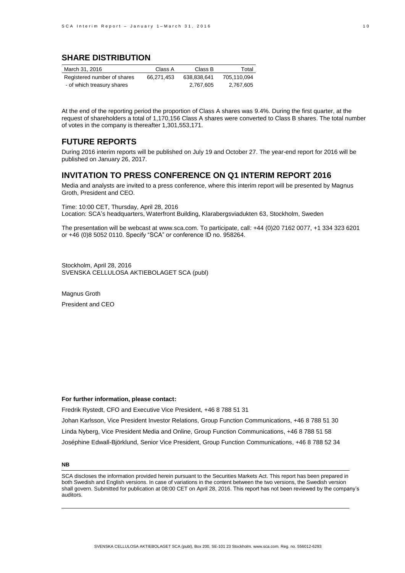## **SHARE DISTRIBUTION**

| March 31, 2016              | Class A    | Class B     | Total       |
|-----------------------------|------------|-------------|-------------|
| Registered number of shares | 66.271.453 | 638.838.641 | 705.110.094 |
| - of which treasury shares  |            | 2.767.605   | 2.767.605   |

At the end of the reporting period the proportion of Class A shares was 9.4%. During the first quarter, at the request of shareholders a total of 1,170,156 Class A shares were converted to Class B shares. The total number of votes in the company is thereafter 1,301,553,171.

#### **FUTURE REPORTS**

During 2016 interim reports will be published on July 19 and October 27. The year-end report for 2016 will be published on January 26, 2017.

## **INVITATION TO PRESS CONFERENCE ON Q1 INTERIM REPORT 2016**

Media and analysts are invited to a press conference, where this interim report will be presented by Magnus Groth, President and CEO.

Time: 10:00 CET, Thursday, April 28, 2016 Location: SCA's headquarters, Waterfront Building, Klarabergsviadukten 63, Stockholm, Sweden

The presentation will be webcast at www.sca.com. To participate, call: +44 (0)20 7162 0077, +1 334 323 6201 or +46 (0)8 5052 0110. Specify "SCA" or conference ID no. 958264.

Stockholm, April 28, 2016 SVENSKA CELLULOSA AKTIEBOLAGET SCA (publ)

Magnus Groth President and CEO

#### **For further information, please contact:**

Fredrik Rystedt, CFO and Executive Vice President, +46 8 788 51 31 Johan Karlsson, Vice President Investor Relations, Group Function Communications, +46 8 788 51 30 Linda Nyberg, Vice President Media and Online, Group Function Communications, +46 8 788 51 58 Joséphine Edwall-Björklund, Senior Vice President, Group Function Communications, +46 8 788 52 34

#### **NB**

SCA discloses the information provided herein pursuant to the Securities Markets Act. This report has been prepared in both Swedish and English versions. In case of variations in the content between the two versions, the Swedish version shall govern. Submitted for publication at 08:00 CET on April 28, 2016. This report has not been reviewed by the company's auditors.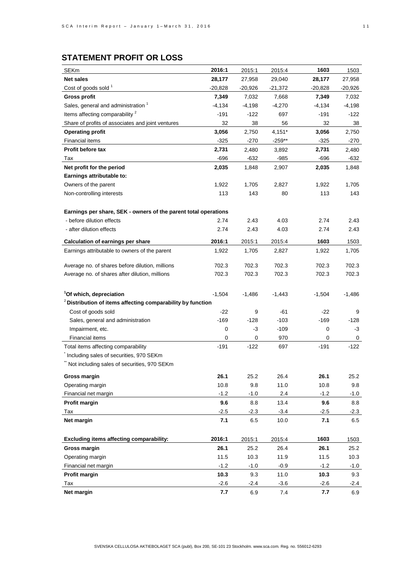| <b>SEKm</b>                                                            | 2016:1    | 2015:1   | 2015:4    | 1603     | 1503     |
|------------------------------------------------------------------------|-----------|----------|-----------|----------|----------|
| <b>Net sales</b>                                                       | 28,177    | 27,958   | 29,040    | 28,177   | 27,958   |
| Cost of goods sold <sup>1</sup>                                        | $-20,828$ | -20,926  | $-21,372$ | -20,828  | -20,926  |
| <b>Gross profit</b>                                                    | 7,349     | 7,032    | 7,668     | 7,349    | 7,032    |
| Sales, general and administration <sup>1</sup>                         | $-4,134$  | $-4,198$ | $-4,270$  | $-4,134$ | $-4,198$ |
| Items affecting comparability <sup>2</sup>                             | $-191$    | $-122$   | 697       | $-191$   | $-122$   |
| Share of profits of associates and joint ventures                      | 32        | 38       | 56        | 32       | 38       |
| <b>Operating profit</b>                                                | 3,056     | 2,750    | 4,151*    | 3,056    | 2,750    |
| <b>Financial items</b>                                                 | $-325$    | $-270$   | $-259**$  | $-325$   | -270     |
| Profit before tax                                                      | 2,731     | 2,480    | 3,892     | 2,731    | 2,480    |
| Tax                                                                    | $-696$    | $-632$   | -985      | $-696$   | -632     |
| Net profit for the period                                              | 2,035     | 1,848    | 2,907     | 2,035    | 1,848    |
| Earnings attributable to:                                              |           |          |           |          |          |
| Owners of the parent                                                   | 1,922     | 1,705    | 2,827     | 1,922    | 1,705    |
| Non-controlling interests                                              | 113       | 143      | 80        | 113      | 143      |
|                                                                        |           |          |           |          |          |
| Earnings per share, SEK - owners of the parent total operations        |           |          |           |          |          |
| - before dilution effects                                              | 2.74      | 2.43     | 4.03      | 2.74     | 2.43     |
| - after dilution effects                                               | 2.74      | 2.43     | 4.03      | 2.74     | 2.43     |
| <b>Calculation of earnings per share</b>                               | 2016:1    | 2015:1   | 2015:4    | 1603     | 1503     |
| Earnings attributable to owners of the parent                          | 1,922     | 1,705    | 2,827     | 1,922    | 1,705    |
|                                                                        |           |          |           |          |          |
| Average no. of shares before dilution, millions                        | 702.3     | 702.3    | 702.3     | 702.3    | 702.3    |
| Average no. of shares after dilution, millions                         | 702.3     | 702.3    | 702.3     | 702.3    | 702.3    |
|                                                                        |           |          |           |          |          |
| <sup>1</sup> Of which, depreciation                                    | $-1,504$  | $-1,486$ | $-1,443$  | $-1,504$ | $-1,486$ |
| <sup>2</sup> Distribution of items affecting comparability by function |           |          |           |          |          |
| Cost of goods sold                                                     | $-22$     | 9        | -61       | -22      | 9        |
| Sales, general and administration                                      | $-169$    | $-128$   | $-103$    | $-169$   | $-128$   |
| Impairment, etc.                                                       | 0         | -3       | $-109$    | 0        | -3       |
| <b>Financial items</b>                                                 | 0         | 0        | 970       | 0        | 0        |
| Total items affecting comparability                                    | $-191$    | $-122$   | 697       | $-191$   | $-122$   |
| Including sales of securities, 970 SEKm                                |           |          |           |          |          |
| Not including sales of securities, 970 SEKm                            |           |          |           |          |          |
| Gross margin                                                           | 26.1      | 25.2     | 26.4      | 26.1     | 25.2     |
| Operating margin                                                       | 10.8      | 9.8      | 11.0      | 10.8     | 9.8      |
| Financial net margin                                                   | $-1.2$    | $-1.0$   | 2.4       | $-1.2$   | $-1.0$   |
| Profit margin                                                          | 9.6       | 8.8      | 13.4      | 9.6      | 8.8      |
| Tax                                                                    | $-2.5$    | $-2.3$   | $-3.4$    | $-2.5$   | $-2.3$   |
| Net margin                                                             | 7.1       | 6.5      | 10.0      | 7.1      | 6.5      |
|                                                                        |           |          |           |          |          |
| Excluding items affecting comparability:                               | 2016:1    | 2015:1   | 2015:4    | 1603     | 1503     |
| Gross margin                                                           | 26.1      | 25.2     | 26.4      | 26.1     | 25.2     |
| Operating margin                                                       | 11.5      | 10.3     | 11.9      | 11.5     | 10.3     |
| Financial net margin                                                   | $-1.2$    | $-1.0$   | $-0.9$    | $-1.2$   | $-1.0$   |
| <b>Profit margin</b>                                                   | 10.3      | 9.3      | 11.0      | 10.3     | 9.3      |
| Tax                                                                    | $-2.6$    | -2.4     | $-3.6$    | $-2.6$   | -2.4     |
| Net margin                                                             | 7.7       | 6.9      | 7.4       | 7.7      | 6.9      |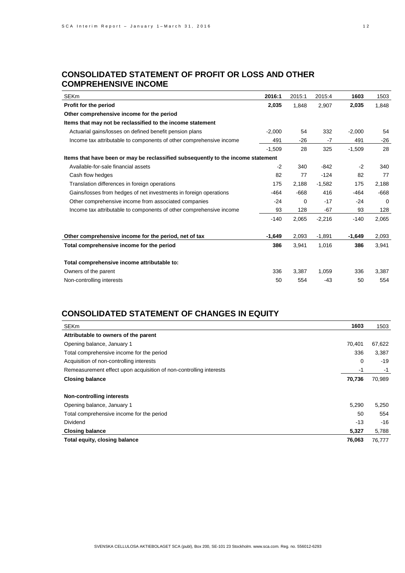## **CONSOLIDATED STATEMENT OF PROFIT OR LOSS AND OTHER COMPREHENSIVE INCOME**

| <b>SEKm</b>                                                                      | 2016:1   | 2015:1 | 2015:4   | 1603     | 1503     |
|----------------------------------------------------------------------------------|----------|--------|----------|----------|----------|
| Profit for the period                                                            | 2,035    | 1,848  | 2,907    | 2,035    | 1,848    |
| Other comprehensive income for the period                                        |          |        |          |          |          |
| Items that may not be reclassified to the income statement                       |          |        |          |          |          |
| Actuarial gains/losses on defined benefit pension plans                          | $-2,000$ | 54     | 332      | $-2,000$ | 54       |
| Income tax attributable to components of other comprehensive income              | 491      | -26    | $-7$     | 491      | $-26$    |
|                                                                                  | $-1,509$ | 28     | 325      | $-1,509$ | 28       |
| Items that have been or may be reclassified subsequently to the income statement |          |        |          |          |          |
| Available-for-sale financial assets                                              | $-2$     | 340    | $-842$   | $-2$     | 340      |
| Cash flow hedges                                                                 | 82       | 77     | $-124$   | 82       | 77       |
| Translation differences in foreign operations                                    | 175      | 2,188  | $-1,582$ | 175      | 2,188    |
| Gains/losses from hedges of net investments in foreign operations                | -464     | $-668$ | 416      | -464     | $-668$   |
| Other comprehensive income from associated companies                             | $-24$    | 0      | $-17$    | $-24$    | $\Omega$ |
| Income tax attributable to components of other comprehensive income              | 93       | 128    | $-67$    | 93       | 128      |
|                                                                                  | $-140$   | 2,065  | $-2,216$ | $-140$   | 2,065    |
|                                                                                  |          |        |          |          |          |
| Other comprehensive income for the period, net of tax                            | $-1,649$ | 2,093  | $-1,891$ | $-1,649$ | 2,093    |
| Total comprehensive income for the period                                        | 386      | 3,941  | 1,016    | 386      | 3,941    |
|                                                                                  |          |        |          |          |          |
| Total comprehensive income attributable to:                                      |          |        |          |          |          |
| Owners of the parent                                                             | 336      | 3,387  | 1,059    | 336      | 3,387    |
| Non-controlling interests                                                        | 50       | 554    | $-43$    | 50       | 554      |

# **CONSOLIDATED STATEMENT OF CHANGES IN EQUITY**

| SEKm                                                               | 1603   | 1503   |
|--------------------------------------------------------------------|--------|--------|
| Attributable to owners of the parent                               |        |        |
| Opening balance, January 1                                         | 70,401 | 67,622 |
| Total comprehensive income for the period                          | 336    | 3,387  |
| Acquisition of non-controlling interests                           | 0      | $-19$  |
| Remeasurement effect upon acquisition of non-controlling interests | -1     | -1     |
| <b>Closing balance</b>                                             | 70,736 | 70,989 |
|                                                                    |        |        |
| Non-controlling interests                                          |        |        |
| Opening balance, January 1                                         | 5,290  | 5,250  |
| Total comprehensive income for the period                          | 50     | 554    |
| <b>Dividend</b>                                                    | $-13$  | $-16$  |
| <b>Closing balance</b>                                             | 5,327  | 5,788  |
| Total equity, closing balance                                      | 76,063 | 76,777 |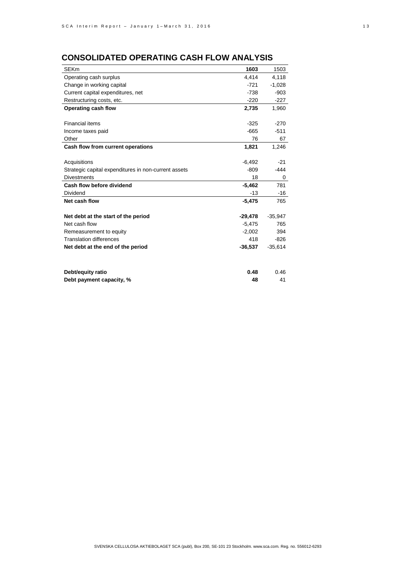# **CONSOLIDATED OPERATING CASH FLOW ANALYSIS**

| <b>SEKm</b>                                          | 1603      | 1503      |
|------------------------------------------------------|-----------|-----------|
| Operating cash surplus                               | 4,414     | 4,118     |
| Change in working capital                            | $-721$    | $-1,028$  |
| Current capital expenditures, net                    | $-738$    | $-903$    |
| Restructuring costs, etc.                            | $-220$    | $-227$    |
| Operating cash flow                                  | 2,735     | 1,960     |
|                                                      |           |           |
| <b>Financial items</b>                               | $-325$    | $-270$    |
| Income taxes paid                                    | $-665$    | $-511$    |
| Other                                                | 76        | 67        |
| Cash flow from current operations                    | 1,821     | 1,246     |
|                                                      |           |           |
| Acquisitions                                         | $-6,492$  | $-21$     |
| Strategic capital expenditures in non-current assets | $-809$    | -444      |
| <b>Divestments</b>                                   | 18        | 0         |
| Cash flow before dividend                            | $-5,462$  | 781       |
| Dividend                                             | $-13$     | $-16$     |
| Net cash flow                                        | $-5,475$  | 765       |
|                                                      |           |           |
| Net debt at the start of the period                  | -29,478   | $-35,947$ |
| Net cash flow                                        | $-5,475$  | 765       |
| Remeasurement to equity                              | $-2,002$  | 394       |
| <b>Translation differences</b>                       | 418       | $-826$    |
| Net debt at the end of the period                    | $-36,537$ | $-35,614$ |
|                                                      |           |           |
| Debt/equity ratio                                    | 0.48      | 0.46      |
| Debt payment capacity, %                             | 48        | 41        |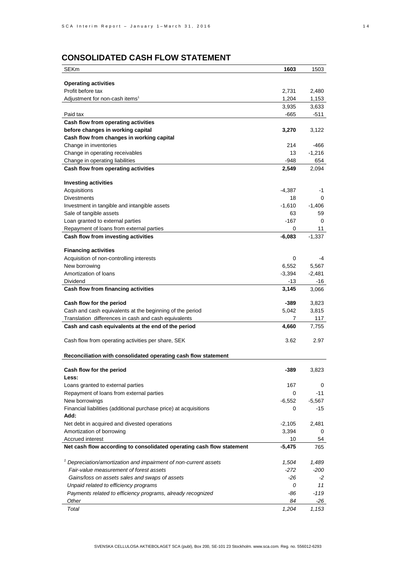# **CONSOLIDATED CASH FLOW STATEMENT**

| SEKm                                                                            | 1603          | 1503     |
|---------------------------------------------------------------------------------|---------------|----------|
|                                                                                 |               |          |
| <b>Operating activities</b>                                                     |               |          |
| Profit before tax                                                               | 2,731         | 2,480    |
| Adjustment for non-cash items <sup>1</sup>                                      | 1,204         | 1,153    |
|                                                                                 | 3,935         | 3,633    |
| Paid tax                                                                        | -665          | -511     |
| Cash flow from operating activities                                             |               |          |
| before changes in working capital                                               | 3,270         | 3,122    |
| Cash flow from changes in working capital                                       |               |          |
| Change in inventories                                                           | 214           | -466     |
| Change in operating receivables                                                 | 13            | $-1,216$ |
| Change in operating liabilities                                                 | -948          | 654      |
|                                                                                 |               |          |
| Cash flow from operating activities                                             | 2,549         | 2,094    |
| <b>Investing activities</b>                                                     |               |          |
| Acquisitions                                                                    | $-4,387$      | -1       |
| <b>Divestments</b>                                                              | 18            | 0        |
| Investment in tangible and intangible assets                                    | $-1.610$      | $-1,406$ |
| Sale of tangible assets                                                         | 63            | 59       |
| Loan granted to external parties                                                | $-167$        | 0        |
|                                                                                 |               | 11       |
| Repayment of loans from external parties<br>Cash flow from investing activities | 0<br>$-6,083$ | $-1,337$ |
|                                                                                 |               |          |
| <b>Financing activities</b>                                                     |               |          |
| Acquisition of non-controlling interests                                        | 0             | -4       |
| New borrowing                                                                   | 6,552         | 5,567    |
| Amortization of loans                                                           | $-3,394$      | $-2,481$ |
| Dividend                                                                        | -13           | -16      |
| Cash flow from financing activities                                             | 3,145         | 3,066    |
|                                                                                 |               |          |
| Cash flow for the period                                                        | -389          | 3,823    |
| Cash and cash equivalents at the beginning of the period                        | 5,042         | 3,815    |
| Translation differences in cash and cash equivalents                            | 7             | 117      |
| Cash and cash equivalents at the end of the period                              | 4,660         | 7,755    |
|                                                                                 |               |          |
| Cash flow from operating activities per share, SEK                              | 3.62          | 2.97     |
|                                                                                 |               |          |
| Reconciliation with consolidated operating cash flow statement                  |               |          |
| Cash flow for the period                                                        | -389          | 3,823    |
| Less:                                                                           |               |          |
| Loans granted to external parties                                               | 167           | 0        |
| Repayment of loans from external parties                                        | 0             | $-11$    |
| New borrowings                                                                  | $-6,552$      | $-5,567$ |
| Financial liabilities (additional purchase price) at acquisitions               | 0             | -15      |
| Add:                                                                            |               |          |
| Net debt in acquired and divested operations                                    | $-2,105$      | 2,481    |
| Amortization of borrowing                                                       | 3,394         | 0        |
| Accrued interest                                                                |               |          |
|                                                                                 | 10            | 54       |
| Net cash flow according to consolidated operating cash flow statement           | $-5,475$      | 765      |
| Depreciation/amortization and impairment of non-current assets                  | 1,504         | 1,489    |
| Fair-value measurement of forest assets                                         |               |          |
|                                                                                 | $-272$        | -200     |
| Gains/loss on assets sales and swaps of assets                                  | -26           | -2       |
| Unpaid related to efficiency programs                                           | 0             | 11       |
| Payments related to efficiency programs, already recognized                     | -86           | -119     |
| Other                                                                           | 84            | -26      |
| Total                                                                           | 1,204         | 1,153    |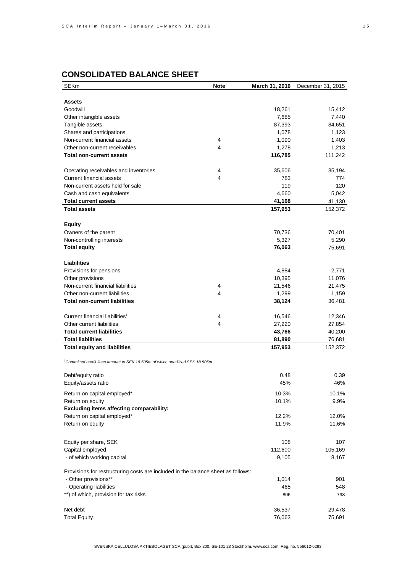| <b>SEKm</b>                                                                                | <b>Note</b> | March 31, 2016   | December 31, 2015 |
|--------------------------------------------------------------------------------------------|-------------|------------------|-------------------|
|                                                                                            |             |                  |                   |
| <b>Assets</b>                                                                              |             |                  |                   |
| Goodwill                                                                                   |             | 18,261           | 15,412            |
| Other intangible assets                                                                    |             | 7,685            | 7,440             |
| Tangible assets                                                                            |             | 87,393           | 84,651            |
| Shares and participations                                                                  |             | 1,078            | 1,123             |
| Non-current financial assets                                                               | 4           | 1,090            | 1,403             |
| Other non-current receivables                                                              | 4           | 1,278            | 1,213             |
| <b>Total non-current assets</b>                                                            |             | 116,785          | 111,242           |
|                                                                                            |             |                  |                   |
| Operating receivables and inventories                                                      | 4           | 35,606           | 35,194            |
| <b>Current financial assets</b>                                                            | 4           | 783              | 774               |
| Non-current assets held for sale                                                           |             | 119              | 120               |
| Cash and cash equivalents                                                                  |             | 4,660            | 5,042             |
| <b>Total current assets</b>                                                                |             | 41,168           | 41,130            |
| <b>Total assets</b>                                                                        |             | 157,953          | 152,372           |
|                                                                                            |             |                  |                   |
| <b>Equity</b>                                                                              |             |                  |                   |
| Owners of the parent                                                                       |             | 70,736           | 70,401            |
| Non-controlling interests                                                                  |             | 5,327            | 5,290             |
| <b>Total equity</b>                                                                        |             | 76,063           | 75,691            |
|                                                                                            |             |                  |                   |
| Liabilities                                                                                |             |                  |                   |
| Provisions for pensions                                                                    |             | 4,884            | 2,771             |
| Other provisions                                                                           |             | 10,395           | 11,076            |
| Non-current financial liabilities                                                          | 4           | 21,546           | 21,475            |
| Other non-current liabilities                                                              | 4           | 1,299            | 1,159             |
| <b>Total non-current liabilities</b>                                                       |             | 38,124           | 36,481            |
|                                                                                            |             |                  |                   |
| Current financial liabilities <sup>1</sup>                                                 | 4           | 16,546           | 12,346            |
| Other current liabilities<br><b>Total current liabilities</b>                              | 4           | 27,220           | 27,854            |
| <b>Total liabilities</b>                                                                   |             | 43,766<br>81,890 | 40,200<br>76,681  |
| <b>Total equity and liabilities</b>                                                        |             | 157,953          | 152,372           |
|                                                                                            |             |                  |                   |
| <sup>1</sup> Committed credit lines amount to SEK 18 505m of which unutilized SEK 18 505m. |             |                  |                   |
|                                                                                            |             |                  |                   |
| Debt/equity ratio                                                                          |             | 0.48             | 0.39              |
| Equity/assets ratio                                                                        |             | 45%              | 46%               |
| Return on capital employed*                                                                |             | 10.3%            | 10.1%             |
| Return on equity                                                                           |             | 10.1%            | 9.9%              |
| <b>Excluding items affecting comparability:</b>                                            |             |                  |                   |
| Return on capital employed*                                                                |             | 12.2%            | 12.0%             |
| Return on equity                                                                           |             | 11.9%            | 11.6%             |
|                                                                                            |             |                  |                   |
|                                                                                            |             |                  |                   |
| Equity per share, SEK                                                                      |             | 108              | 107               |
| Capital employed                                                                           |             | 112,600          | 105,169           |
| - of which working capital                                                                 |             | 9,105            | 8,167             |
| Provisions for restructuring costs are included in the balance sheet as follows:           |             |                  |                   |
| - Other provisions**                                                                       |             | 1,014            | 901               |
| - Operating liabilities                                                                    |             | 465              | 548               |
| **) of which, provision for tax risks                                                      |             | 806              | 798               |
|                                                                                            |             |                  |                   |
| Net debt                                                                                   |             | 36,537           | 29,478            |
| <b>Total Equity</b>                                                                        |             | 76,063           | 75,691            |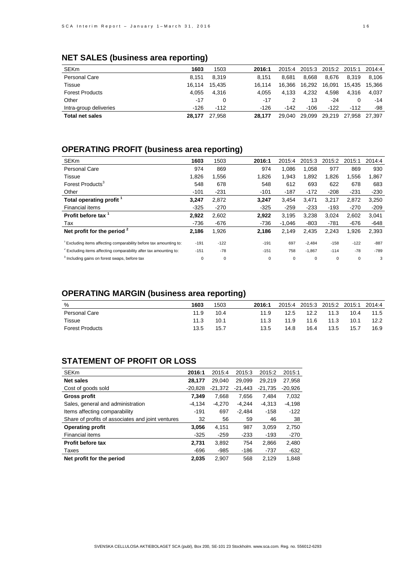| <b>SEKm</b>            | 1603   | 1503   | 2016:1 | 2015:4 | 2015:3 | 2015:2 | 2015:1 | 2014:4 |
|------------------------|--------|--------|--------|--------|--------|--------|--------|--------|
| <b>Personal Care</b>   | 8.151  | 8.319  | 8.151  | 8.681  | 8.668  | 8.676  | 8.319  | 8.106  |
| Tissue                 | 16.114 | 15.435 | 16.114 | 16.366 | 16.292 | 16.091 | 15.435 | 15,366 |
| <b>Forest Products</b> | 4.055  | 4.316  | 4.055  | 4.133  | 4.232  | 4.598  | 4.316  | 4,037  |
| Other                  | $-17$  | 0      | $-17$  |        | 13     | -24    | 0      | $-14$  |
| Intra-group deliveries | $-126$ | $-112$ | -126   | $-142$ | $-106$ | $-122$ | $-112$ | -98    |
| <b>Total net sales</b> | 28.177 | 27.958 | 28.177 | 29.040 | 29,099 | 29,219 | 27,958 | 27,397 |

## **NET SALES (business area reporting)**

# **OPERATING PROFIT (business area reporting)**

| <b>SEKm</b>                                                                   | 1603        | 1503        | 2016:1 | 2015:4      | 2015:3      | 2015:2      | 2015:1   | 2014:4 |
|-------------------------------------------------------------------------------|-------------|-------------|--------|-------------|-------------|-------------|----------|--------|
| <b>Personal Care</b>                                                          | 974         | 869         | 974    | 1.086       | 1.058       | 977         | 869      | 930    |
| Tissue                                                                        | 1,826       | 1,556       | 1,826  | 1,943       | 1,892       | 1,826       | 1,556    | 1,867  |
| Forest Products <sup>3</sup>                                                  | 548         | 678         | 548    | 612         | 693         | 622         | 678      | 683    |
| Other                                                                         | $-101$      | $-231$      | $-101$ | $-187$      | $-172$      | $-208$      | $-231$   | $-230$ |
| Total operating profit <sup>1</sup>                                           | 3,247       | 2,872       | 3,247  | 3.454       | 3.471       | 3.217       | 2.872    | 3,250  |
| Financial items                                                               | $-325$      | $-270$      | $-325$ | $-259$      | $-233$      | $-193$      | $-270$   | $-209$ |
| Profit before tax                                                             | 2,922       | 2,602       | 2.922  | 3.195       | 3.238       | 3.024       | 2.602    | 3,041  |
| Tax                                                                           | $-736$      | $-676$      | $-736$ | $-1,046$    | $-803$      | $-781$      | $-676$   | $-648$ |
| Net profit for the period $2$                                                 | 2,186       | 1,926       | 2,186  | 2,149       | 2,435       | 2,243       | 1,926    | 2,393  |
| <sup>1</sup> Excluding items affecting comparability before tax amounting to: | $-191$      | $-122$      | $-191$ | 697         | $-2,484$    | $-158$      | $-122$   | $-887$ |
| <sup>2</sup> Excluding items affecting comparability after tax amounting to:  | $-151$      | $-78$       | $-151$ | 758         | $-1,867$    | $-114$      | $-78$    | $-789$ |
| <sup>3</sup> Including gains on forest swaps, before tax                      | $\mathbf 0$ | $\mathbf 0$ | 0      | $\mathbf 0$ | $\mathbf 0$ | $\mathbf 0$ | $\Omega$ | 3      |

# **OPERATING MARGIN (business area reporting)**

| %                      | 1603 | 1503 | 2016:1 | 2015:4 | 2015:3 | 2015:2 2015:1 2014:4 |      |      |
|------------------------|------|------|--------|--------|--------|----------------------|------|------|
| Personal Care          | 11.9 | 10.4 | 11.9   | 12.5   | 12.2   | 11.3                 | 10.4 | 11.5 |
| Tissue                 | 11.3 | 10.1 | 11.3   | 11.9   | 11.6   | 11.3                 | 10.1 | 12.2 |
| <b>Forest Products</b> | 13.5 | 15.7 | 13.5   | 14.8   | 16.4   | 13.5                 | 15.7 | 16.9 |

# **STATEMENT OF PROFIT OR LOSS**

| <b>SEKm</b>                                       | 2016:1    | 2015:4    | 2015:3    | 2015:2    | 2015:1    |
|---------------------------------------------------|-----------|-----------|-----------|-----------|-----------|
| Net sales                                         | 28,177    | 29.040    | 29.099    | 29.219    | 27.958    |
| Cost of goods sold                                | $-20.828$ | $-21.372$ | $-21.443$ | $-21.735$ | $-20,926$ |
| Gross profit                                      | 7,349     | 7.668     | 7.656     | 7.484     | 7,032     |
| Sales, general and administration                 | -4.134    | $-4.270$  | $-4.244$  | $-4.313$  | $-4.198$  |
| Items affecting comparability                     | $-191$    | 697       | $-2.484$  | $-158$    | -122      |
| Share of profits of associates and joint ventures | 32        | 56        | 59        | 46        | 38        |
| <b>Operating profit</b>                           | 3,056     | 4,151     | 987       | 3,059     | 2,750     |
| Financial items                                   | $-325$    | $-259$    | $-233$    | $-193$    | $-270$    |
| <b>Profit before tax</b>                          | 2.731     | 3.892     | 754       | 2.866     | 2,480     |
| Taxes                                             | $-696$    | $-985$    | -186      | -737      | $-632$    |
| Net profit for the period                         | 2.035     | 2.907     | 568       | 2.129     | 1.848     |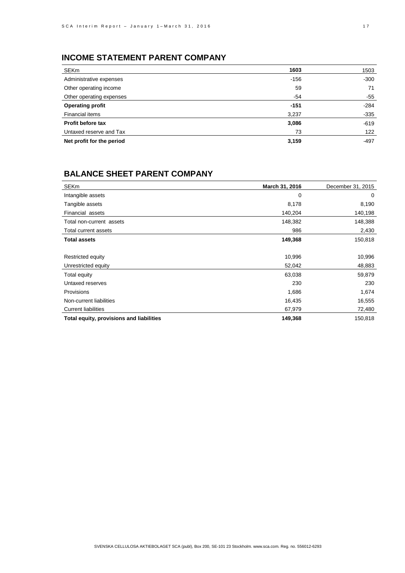# **INCOME STATEMENT PARENT COMPANY**

| SEKm                      | 1603   | 1503   |
|---------------------------|--------|--------|
| Administrative expenses   | $-156$ | $-300$ |
| Other operating income    | 59     | 71     |
| Other operating expenses  | -54    | $-55$  |
| <b>Operating profit</b>   | $-151$ | $-284$ |
| Financial items           | 3,237  | $-335$ |
| Profit before tax         | 3,086  | $-619$ |
| Untaxed reserve and Tax   | 73     | 122    |
| Net profit for the period | 3,159  | $-497$ |

# **BALANCE SHEET PARENT COMPANY**

| <b>SEKm</b>                              | March 31, 2016 | December 31, 2015 |
|------------------------------------------|----------------|-------------------|
| Intangible assets                        | 0              | 0                 |
| Tangible assets                          | 8,178          | 8,190             |
| Financial assets                         | 140,204        | 140,198           |
| Total non-current assets                 | 148,382        | 148,388           |
| Total current assets                     | 986            | 2,430             |
| <b>Total assets</b>                      | 149,368        | 150,818           |
|                                          |                |                   |
| Restricted equity                        | 10,996         | 10,996            |
| Unrestricted equity                      | 52,042         | 48,883            |
| Total equity                             | 63,038         | 59,879            |
| Untaxed reserves                         | 230            | 230               |
| Provisions                               | 1,686          | 1,674             |
| Non-current liabilities                  | 16,435         | 16,555            |
| <b>Current liabilities</b>               | 67,979         | 72,480            |
| Total equity, provisions and liabilities | 149,368        | 150,818           |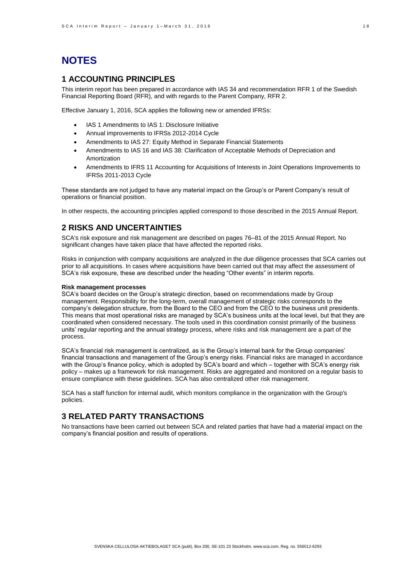# **NOTES**

## **1 ACCOUNTING PRINCIPLES**

This interim report has been prepared in accordance with IAS 34 and recommendation RFR 1 of the Swedish Financial Reporting Board (RFR), and with regards to the Parent Company, RFR 2.

Effective January 1, 2016, SCA applies the following new or amended IFRSs:

- IAS 1 Amendments to IAS 1: Disclosure Initiative
- Annual improvements to IFRSs 2012-2014 Cycle
- Amendments to IAS 27: Equity Method in Separate Financial Statements
- Amendments to IAS 16 and IAS 38: Clarification of Acceptable Methods of Depreciation and Amortization
- Amendments to IFRS 11 Accounting for Acquisitions of Interests in Joint Operations Improvements to IFRSs 2011-2013 Cycle

These standards are not judged to have any material impact on the Group's or Parent Company's result of operations or financial position.

In other respects, the accounting principles applied correspond to those described in the 2015 Annual Report.

## **2 RISKS AND UNCERTAINTIES**

SCA's risk exposure and risk management are described on pages 76–81 of the 2015 Annual Report. No significant changes have taken place that have affected the reported risks.

Risks in conjunction with company acquisitions are analyzed in the due diligence processes that SCA carries out prior to all acquisitions. In cases where acquisitions have been carried out that may affect the assessment of SCA's risk exposure, these are described under the heading "Other events" in interim reports.

#### **Risk management processes**

SCA's board decides on the Group's strategic direction, based on recommendations made by Group management. Responsibility for the long-term, overall management of strategic risks corresponds to the company's delegation structure, from the Board to the CEO and from the CEO to the business unit presidents. This means that most operational risks are managed by SCA's business units at the local level, but that they are coordinated when considered necessary. The tools used in this coordination consist primarily of the business units' regular reporting and the annual strategy process, where risks and risk management are a part of the process.

SCA's financial risk management is centralized, as is the Group's internal bank for the Group companies' financial transactions and management of the Group's energy risks. Financial risks are managed in accordance with the Group's finance policy, which is adopted by SCA's board and which – together with SCA's energy risk policy – makes up a framework for risk management. Risks are aggregated and monitored on a regular basis to ensure compliance with these guidelines. SCA has also centralized other risk management.

SCA has a staff function for internal audit, which monitors compliance in the organization with the Group's policies.

# **3 RELATED PARTY TRANSACTIONS**

No transactions have been carried out between SCA and related parties that have had a material impact on the company's financial position and results of operations.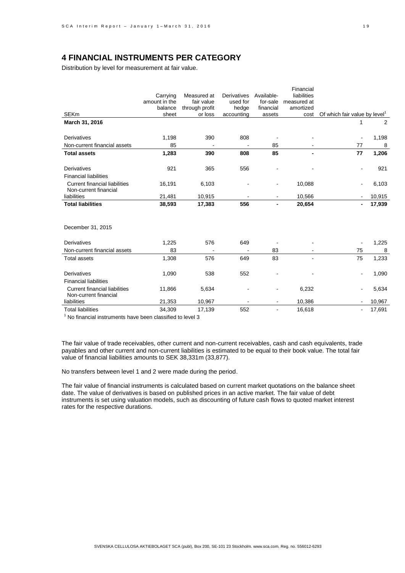## **4 FINANCIAL INSTRUMENTS PER CATEGORY**

Distribution by level for measurement at fair value.

|                                      |               |                |             |            | Financial   |                                           |        |
|--------------------------------------|---------------|----------------|-------------|------------|-------------|-------------------------------------------|--------|
|                                      | Carrying      | Measured at    | Derivatives | Available- | liabilities |                                           |        |
|                                      | amount in the | fair value     | used for    | for-sale   | measured at |                                           |        |
|                                      | balance       | through profit | hedge       | financial  | amortized   |                                           |        |
| <b>SEKm</b>                          | sheet         | or loss        | accounting  | assets     | cost        | Of which fair value by level <sup>1</sup> |        |
| March 31, 2016                       |               |                |             |            |             |                                           | 2      |
|                                      |               |                |             |            |             |                                           |        |
| <b>Derivatives</b>                   | 1,198         | 390            | 808         |            |             | $\blacksquare$                            | 1,198  |
| Non-current financial assets         | 85            |                |             | 85         |             | 77                                        | 8      |
| <b>Total assets</b>                  | 1,283         | 390            | 808         | 85         |             | 77                                        | 1,206  |
|                                      |               |                |             |            |             |                                           |        |
| <b>Derivatives</b>                   | 921           | 365            | 556         |            |             | ۰                                         | 921    |
| <b>Financial liabilities</b>         |               |                |             |            |             |                                           |        |
| <b>Current financial liabilities</b> | 16,191        | 6,103          |             |            | 10,088      | ٠                                         | 6,103  |
| Non-current financial                |               |                |             |            |             |                                           |        |
| liabilities                          | 21,481        | 10,915         |             |            | 10,566      |                                           | 10,915 |
| <b>Total liabilities</b>             | 38,593        | 17,383         | 556         |            | 20,654      |                                           | 17,939 |
|                                      |               |                |             |            |             |                                           |        |
|                                      |               |                |             |            |             |                                           |        |
| December 31, 2015                    |               |                |             |            |             |                                           |        |
|                                      |               |                |             |            |             |                                           |        |
| Derivatives                          | 1,225         | 576            | 649         |            |             |                                           | 1,225  |
| Non-current financial assets         | 83            |                |             | 83         |             | 75                                        | 8      |
| <b>Total assets</b>                  | 1,308         | 576            | 649         | 83         |             | 75                                        | 1,233  |
|                                      |               |                |             |            |             |                                           |        |
| Derivatives                          | 1,090         | 538            | 552         |            |             | ۰                                         | 1,090  |
| <b>Financial liabilities</b>         |               |                |             |            |             |                                           |        |
| <b>Current financial liabilities</b> | 11,866        | 5,634          |             |            | 6,232       |                                           | 5,634  |
| Non-current financial                |               |                |             |            |             |                                           |        |
| liabilities                          | 21,353        | 10,967         |             |            | 10,386      |                                           | 10,967 |
| <b>Total liabilities</b>             | 34,309        | 17,139         | 552         |            | 16,618      | $\blacksquare$                            | 17,691 |

 $<sup>1</sup>$  No financial instruments have been classified to level 3</sup>

The fair value of trade receivables, other current and non-current receivables, cash and cash equivalents, trade payables and other current and non-current liabilities is estimated to be equal to their book value. The total fair value of financial liabilities amounts to SEK 38,331m (33,877).

No transfers between level 1 and 2 were made during the period.

The fair value of financial instruments is calculated based on current market quotations on the balance sheet date. The value of derivatives is based on published prices in an active market. The fair value of debt instruments is set using valuation models, such as discounting of future cash flows to quoted market interest rates for the respective durations.